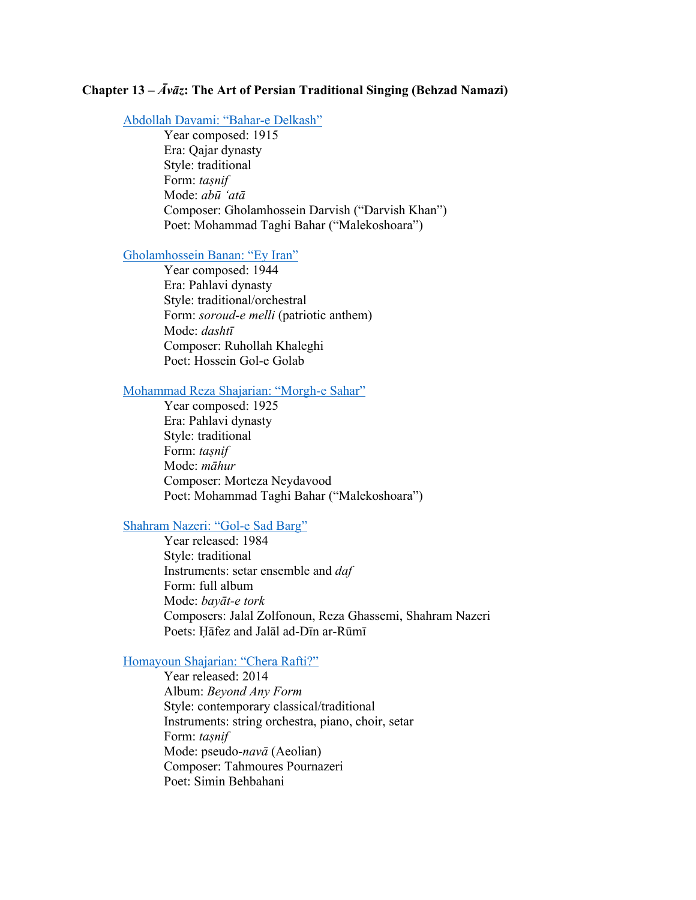# **Chapter 13 –** *Āvāz***: The Art of Persian Traditional Singing (Behzad Namazi)**

### Abdollah Davami: "Bahar-e Delkash"

Year composed: 1915 Era: Qajar dynasty Style: traditional Form: *taṣnif* Mode: *abū 'atā* Composer: Gholamhossein Darvish ("Darvish Khan") Poet: Mohammad Taghi Bahar ("Malekoshoara")

### Gholamhossein Banan: "Ey Iran"

Year composed: 1944 Era: Pahlavi dynasty Style: traditional/orchestral Form: *soroud-e melli* (patriotic anthem) Mode: *dashtī* Composer: Ruhollah Khaleghi Poet: Hossein Gol-e Golab

## Mohammad Reza Shajarian: "Morgh-e Sahar"

Year composed: 1925 Era: Pahlavi dynasty Style: traditional Form: *taṣnif* Mode: *māhur* Composer: Morteza Neydavood Poet: Mohammad Taghi Bahar ("Malekoshoara")

### Shahram Nazeri: "Gol-e Sad Barg"

Year released: 1984 Style: traditional Instruments: setar ensemble and *daf* Form: full album Mode: *bayāt-e tork* Composers: Jalal Zolfonoun, Reza Ghassemi, Shahram Nazeri Poets: Ḥāfez and Jalāl ad-Dīn ar-Rūmī

# Homayoun Shajarian: "Chera Rafti?"

Year released: 2014 Album: *Beyond Any Form* Style: contemporary classical/traditional Instruments: string orchestra, piano, choir, setar Form: *taṣnif* Mode: pseudo-*navā* (Aeolian) Composer: Tahmoures Pournazeri Poet: Simin Behbahani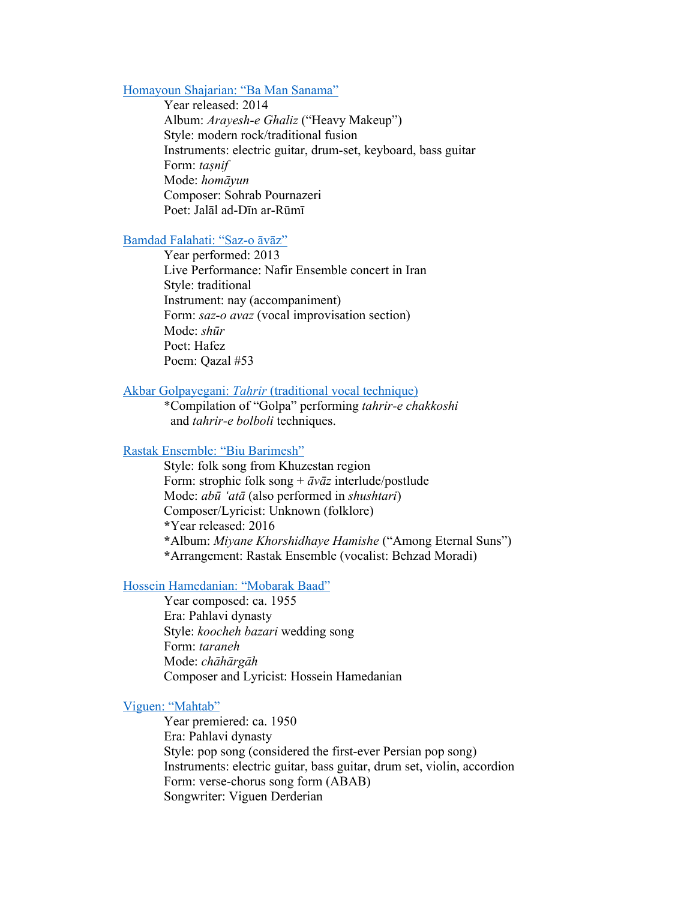### Homayoun Shajarian: "Ba Man Sanama"

Year released: 2014 Album: *Arayesh-e Ghaliz* ("Heavy Makeup") Style: modern rock/traditional fusion Instruments: electric guitar, drum-set, keyboard, bass guitar Form: *taṣnif* Mode: *homāyun* Composer: Sohrab Pournazeri Poet: Jalāl ad-Dīn ar-Rūmī

### Bamdad Falahati: "Saz-o āvāz"

Year performed: 2013 Live Performance: Nafir Ensemble concert in Iran Style: traditional Instrument: nay (accompaniment) Form: *saz-o avaz* (vocal improvisation section) Mode: *shūr* Poet: Hafez Poem: Qazal #53

#### Akbar Golpayegani: *Taḥrir* (traditional vocal technique)

\*Compilation of "Golpa" performing *tahrir-e chakkoshi* and *tahrir-e bolboli* techniques.

# Rastak Ensemble: "Biu Barimesh"

Style: folk song from Khuzestan region Form: strophic folk song + *āvāz* interlude/postlude Mode: *abū 'atā* (also performed in *shushtari*) Composer/Lyricist: Unknown (folklore). **\***Year released: 2016 **\***Album: *Miyane Khorshidhaye Hamishe* ("Among Eternal Suns") **\***Arrangement: Rastak Ensemble (vocalist: Behzad Moradi)

### Hossein Hamedanian: "Mobarak Baad"

Year composed: ca. 1955 Era: Pahlavi dynasty Style: *koocheh bazari* wedding song Form: *taraneh* Mode: *chāhārgāh* Composer and Lyricist: Hossein Hamedanian

# Viguen: "Mahtab"

Year premiered: ca. 1950 Era: Pahlavi dynasty Style: pop song (considered the first-ever Persian pop song) Instruments: electric guitar, bass guitar, drum set, violin, accordion Form: verse-chorus song form (ABAB) Songwriter: Viguen Derderian